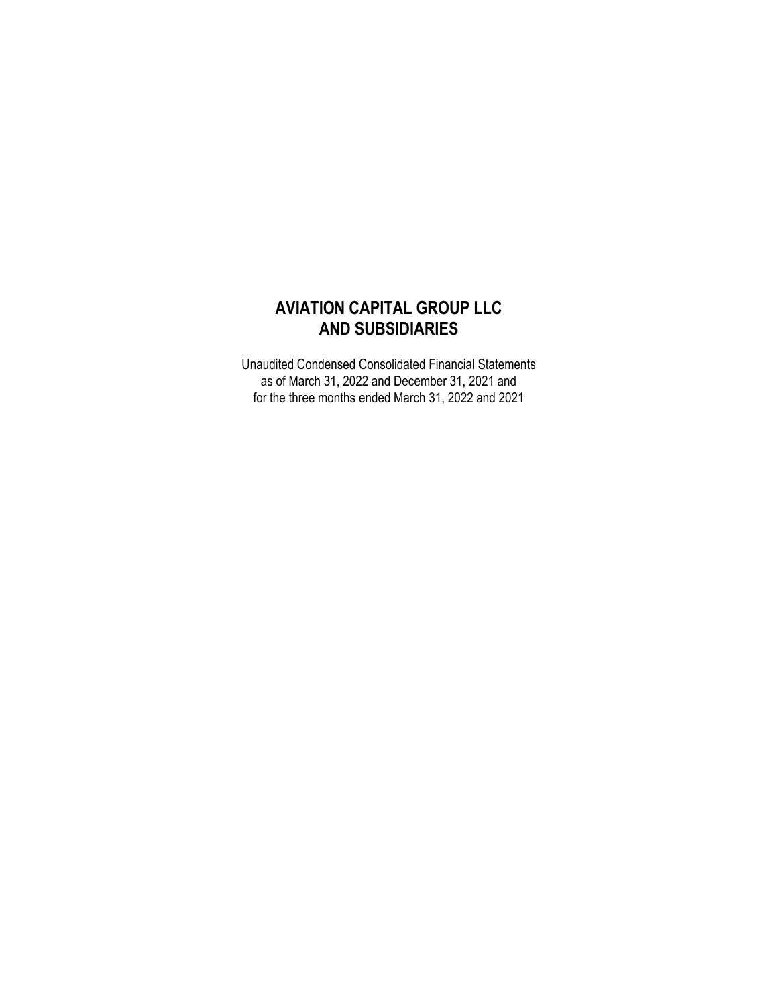# **AVIATION CAPITAL GROUP LLC AND SUBSIDIARIES**

Unaudited Condensed Consolidated Financial Statements as of March 31, 2022 and December 31, 2021 and for the three months ended March 31, 2022 and 2021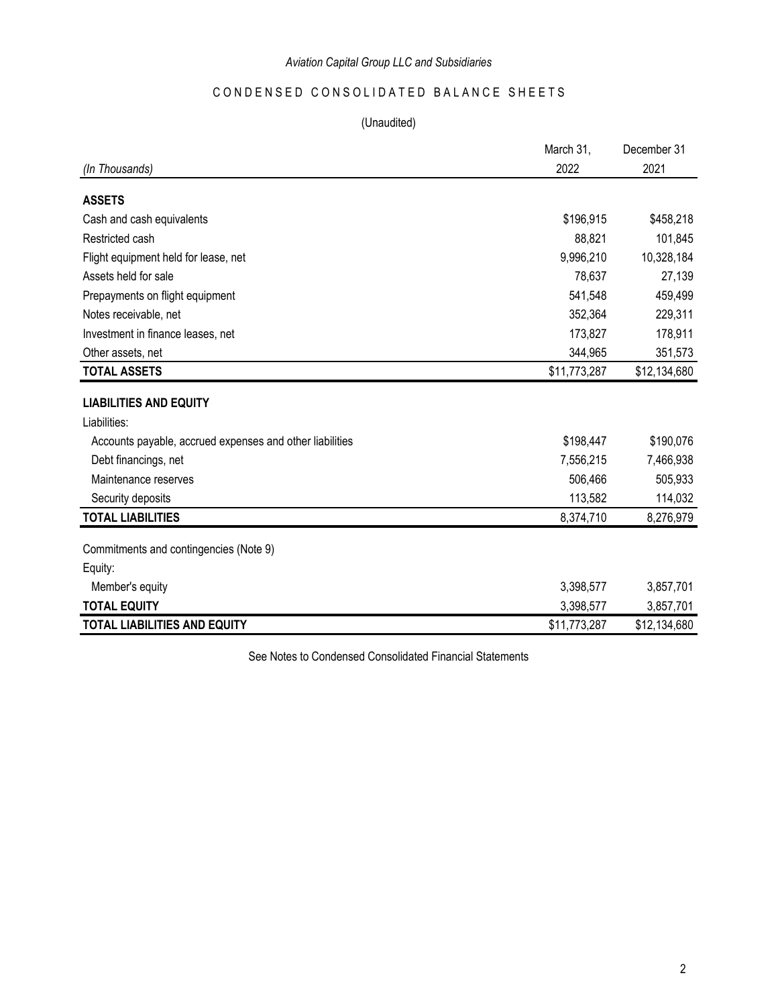## CONDENSED CONSOLIDATED BALANCE SHEETS

## (Unaudited)

|                                                          | March 31,    | December 31  |
|----------------------------------------------------------|--------------|--------------|
| (In Thousands)                                           | 2022         | 2021         |
| <b>ASSETS</b>                                            |              |              |
| Cash and cash equivalents                                | \$196,915    | \$458,218    |
| Restricted cash                                          | 88,821       | 101,845      |
| Flight equipment held for lease, net                     | 9,996,210    | 10,328,184   |
| Assets held for sale                                     | 78,637       | 27,139       |
| Prepayments on flight equipment                          | 541,548      | 459,499      |
| Notes receivable, net                                    | 352,364      | 229,311      |
| Investment in finance leases, net                        | 173,827      | 178,911      |
| Other assets, net                                        | 344,965      | 351,573      |
| <b>TOTAL ASSETS</b>                                      | \$11,773,287 | \$12,134,680 |
| <b>LIABILITIES AND EQUITY</b>                            |              |              |
| Liabilities:                                             |              |              |
| Accounts payable, accrued expenses and other liabilities | \$198,447    | \$190,076    |
| Debt financings, net                                     | 7,556,215    | 7,466,938    |
| Maintenance reserves                                     | 506,466      | 505,933      |
| Security deposits                                        | 113,582      | 114,032      |
| <b>TOTAL LIABILITIES</b>                                 | 8,374,710    | 8,276,979    |
| Commitments and contingencies (Note 9)                   |              |              |
| Equity:                                                  |              |              |
| Member's equity                                          | 3,398,577    | 3,857,701    |
| <b>TOTAL EQUITY</b>                                      | 3,398,577    | 3,857,701    |
| <b>TOTAL LIABILITIES AND EQUITY</b>                      | \$11,773,287 | \$12,134,680 |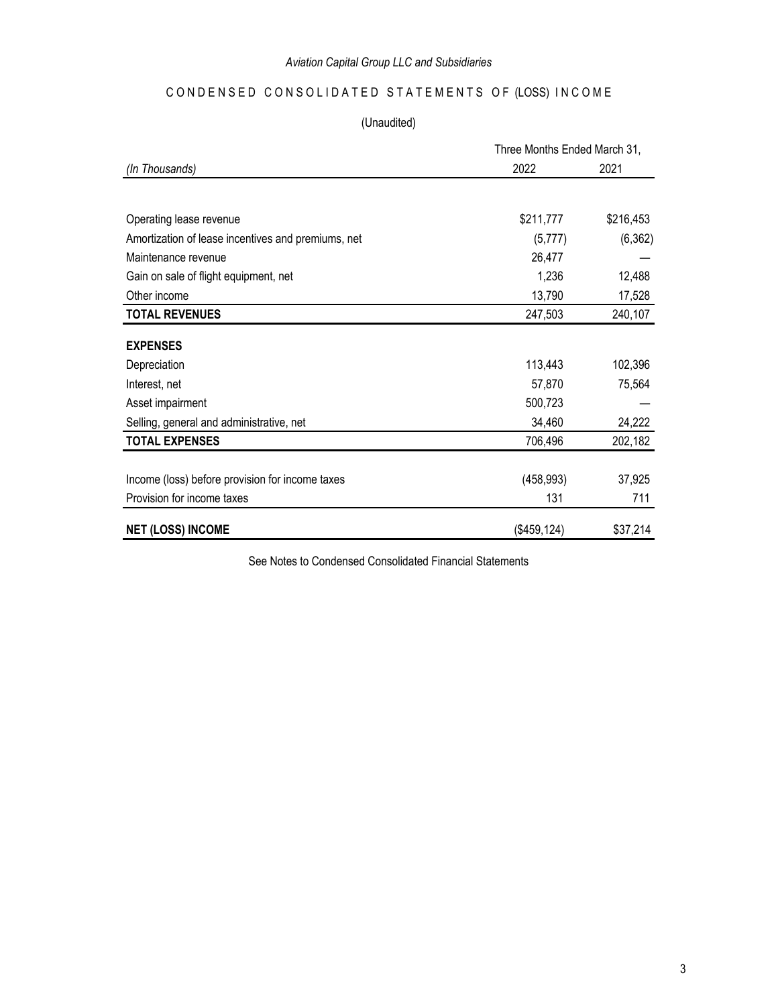## CONDENSED CONSOLIDATED STATEMENTS OF (LOSS) INCOME

(Unaudited)

|                                                    | Three Months Ended March 31, |           |
|----------------------------------------------------|------------------------------|-----------|
| (In Thousands)                                     | 2022                         | 2021      |
|                                                    |                              |           |
| Operating lease revenue                            | \$211,777                    | \$216,453 |
| Amortization of lease incentives and premiums, net | (5,777)                      | (6, 362)  |
| Maintenance revenue                                | 26,477                       |           |
| Gain on sale of flight equipment, net              | 1,236                        | 12,488    |
| Other income                                       | 13,790                       | 17,528    |
| <b>TOTAL REVENUES</b>                              | 247,503                      | 240,107   |
| <b>EXPENSES</b>                                    |                              |           |
| Depreciation                                       | 113,443                      | 102,396   |
| Interest, net                                      | 57,870                       | 75,564    |
| Asset impairment                                   | 500,723                      |           |
| Selling, general and administrative, net           | 34,460                       | 24,222    |
| <b>TOTAL EXPENSES</b>                              | 706,496                      | 202,182   |
|                                                    |                              |           |
| Income (loss) before provision for income taxes    | (458, 993)                   | 37,925    |
| Provision for income taxes                         | 131                          | 711       |
| <b>NET (LOSS) INCOME</b>                           | (\$459, 124)                 | \$37,214  |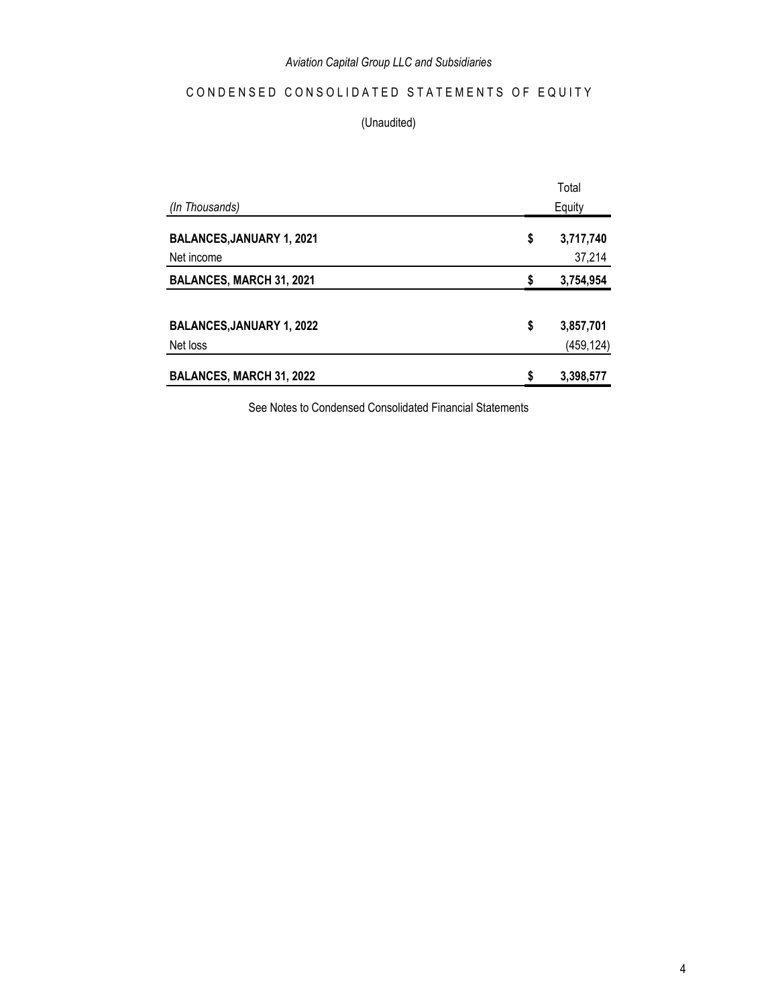## CONDENSED CONSOLIDATED STATEMENTS OF EQUITY

### (Unaudited)

|                                  | Total |            |
|----------------------------------|-------|------------|
| (In Thousands)                   |       | Equity     |
| <b>BALANCES, JANUARY 1, 2021</b> | \$    | 3,717,740  |
| Net income                       |       | 37,214     |
| <b>BALANCES, MARCH 31, 2021</b>  | \$    | 3,754,954  |
|                                  |       |            |
| <b>BALANCES, JANUARY 1, 2022</b> | \$    | 3,857,701  |
| Net loss                         |       | (459, 124) |
| BALANCES, MARCH 31, 2022         | \$    | 3,398,577  |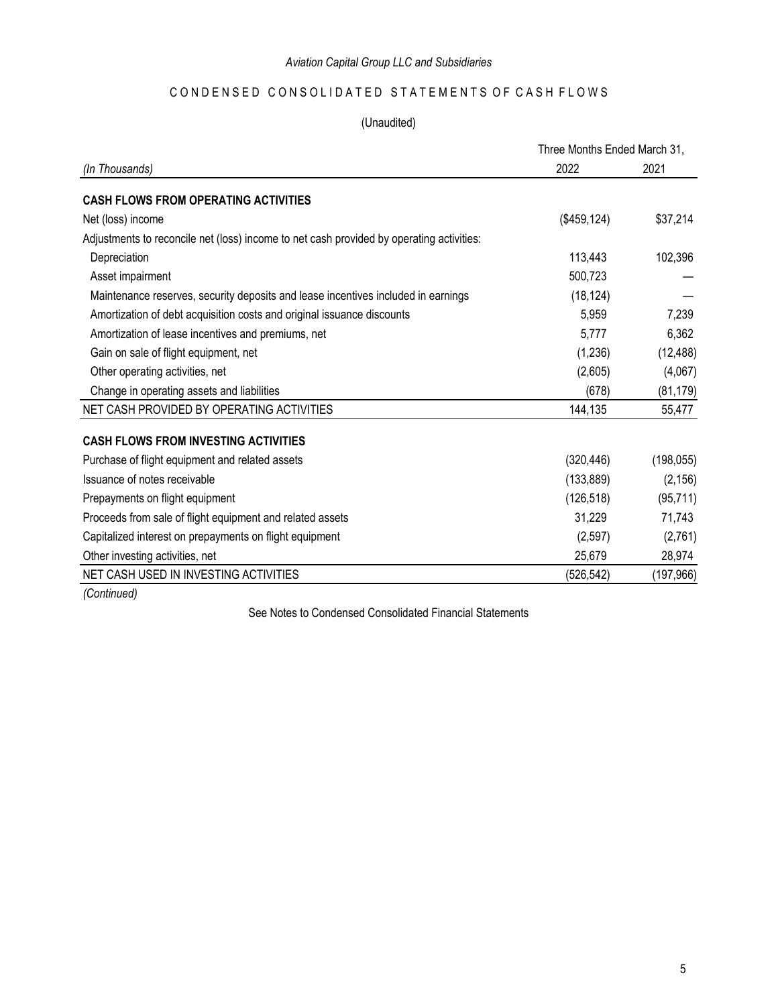## CONDENSED CONSOLIDATED STATEMENTS OF CASH FLOWS

## (Unaudited)

|                                                                                          | Three Months Ended March 31, |            |
|------------------------------------------------------------------------------------------|------------------------------|------------|
| (In Thousands)                                                                           | 2022                         | 2021       |
| <b>CASH FLOWS FROM OPERATING ACTIVITIES</b>                                              |                              |            |
| Net (loss) income                                                                        | (\$459, 124)                 | \$37,214   |
| Adjustments to reconcile net (loss) income to net cash provided by operating activities: |                              |            |
| Depreciation                                                                             | 113,443                      | 102,396    |
| Asset impairment                                                                         | 500,723                      |            |
| Maintenance reserves, security deposits and lease incentives included in earnings        | (18, 124)                    |            |
| Amortization of debt acquisition costs and original issuance discounts                   | 5,959                        | 7,239      |
| Amortization of lease incentives and premiums, net                                       | 5,777                        | 6,362      |
| Gain on sale of flight equipment, net                                                    | (1,236)                      | (12, 488)  |
| Other operating activities, net                                                          | (2,605)                      | (4,067)    |
| Change in operating assets and liabilities                                               | (678)                        | (81, 179)  |
| NET CASH PROVIDED BY OPERATING ACTIVITIES                                                | 144,135                      | 55,477     |
| <b>CASH FLOWS FROM INVESTING ACTIVITIES</b>                                              |                              |            |
| Purchase of flight equipment and related assets                                          | (320, 446)                   | (198, 055) |
| Issuance of notes receivable                                                             | (133, 889)                   | (2, 156)   |
| Prepayments on flight equipment                                                          | (126, 518)                   | (95, 711)  |
| Proceeds from sale of flight equipment and related assets                                | 31,229                       | 71,743     |
| Capitalized interest on prepayments on flight equipment                                  | (2, 597)                     | (2,761)    |
| Other investing activities, net                                                          | 25,679                       | 28,974     |
| NET CASH USED IN INVESTING ACTIVITIES                                                    | (526, 542)                   | (197,966)  |
|                                                                                          |                              |            |

*(Continued)*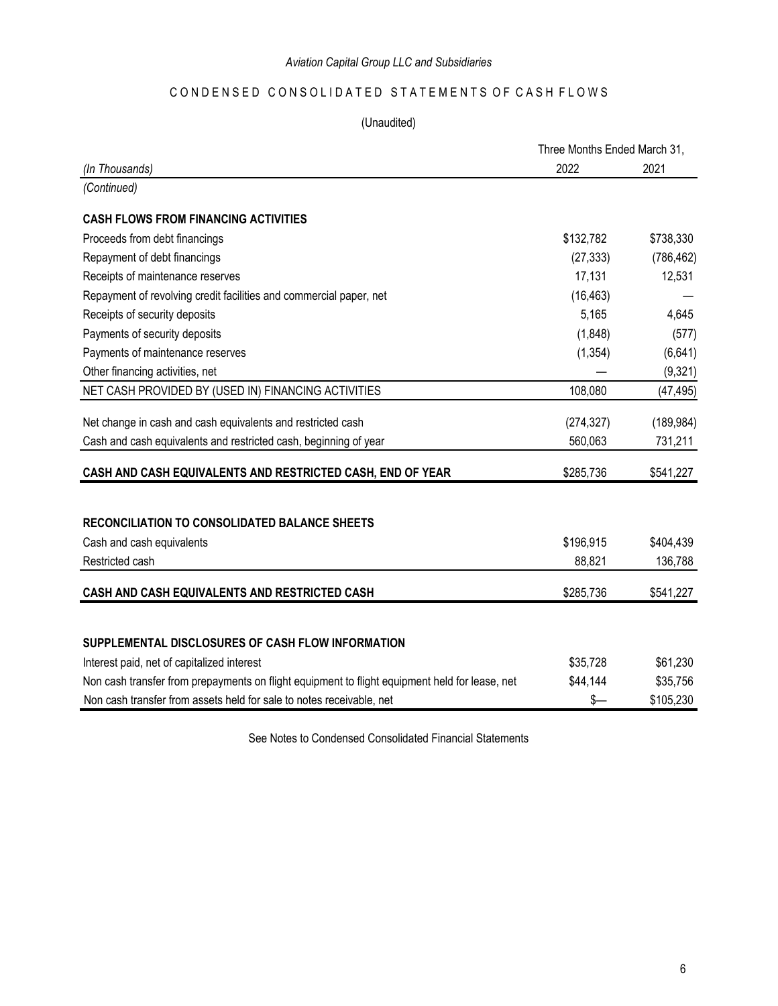## CONDENSED CONSOLIDATED STATEMENTS OF CASH FLOWS

### (Unaudited)

|                                                                                                | Three Months Ended March 31, |            |
|------------------------------------------------------------------------------------------------|------------------------------|------------|
| (In Thousands)                                                                                 | 2022                         | 2021       |
| (Continued)                                                                                    |                              |            |
| <b>CASH FLOWS FROM FINANCING ACTIVITIES</b>                                                    |                              |            |
| Proceeds from debt financings                                                                  | \$132,782                    | \$738,330  |
| Repayment of debt financings                                                                   | (27, 333)                    | (786, 462) |
| Receipts of maintenance reserves                                                               | 17,131                       | 12,531     |
| Repayment of revolving credit facilities and commercial paper, net                             | (16, 463)                    |            |
| Receipts of security deposits                                                                  | 5,165                        | 4,645      |
| Payments of security deposits                                                                  | (1,848)                      | (577)      |
| Payments of maintenance reserves                                                               | (1, 354)                     | (6, 641)   |
| Other financing activities, net                                                                |                              | (9, 321)   |
| NET CASH PROVIDED BY (USED IN) FINANCING ACTIVITIES                                            | 108,080                      | (47, 495)  |
| Net change in cash and cash equivalents and restricted cash                                    | (274, 327)                   | (189, 984) |
| Cash and cash equivalents and restricted cash, beginning of year                               | 560,063                      | 731,211    |
| CASH AND CASH EQUIVALENTS AND RESTRICTED CASH, END OF YEAR                                     | \$285,736                    | \$541,227  |
|                                                                                                |                              |            |
| <b>RECONCILIATION TO CONSOLIDATED BALANCE SHEETS</b>                                           |                              |            |
| Cash and cash equivalents                                                                      | \$196,915                    | \$404,439  |
| Restricted cash                                                                                | 88,821                       | 136,788    |
| CASH AND CASH EQUIVALENTS AND RESTRICTED CASH                                                  | \$285,736                    | \$541,227  |
| SUPPLEMENTAL DISCLOSURES OF CASH FLOW INFORMATION                                              |                              |            |
| Interest paid, net of capitalized interest                                                     | \$35,728                     | \$61,230   |
| Non cash transfer from prepayments on flight equipment to flight equipment held for lease, net | \$44,144                     | \$35,756   |
| Non cash transfer from assets held for sale to notes receivable, net                           | \$-                          | \$105,230  |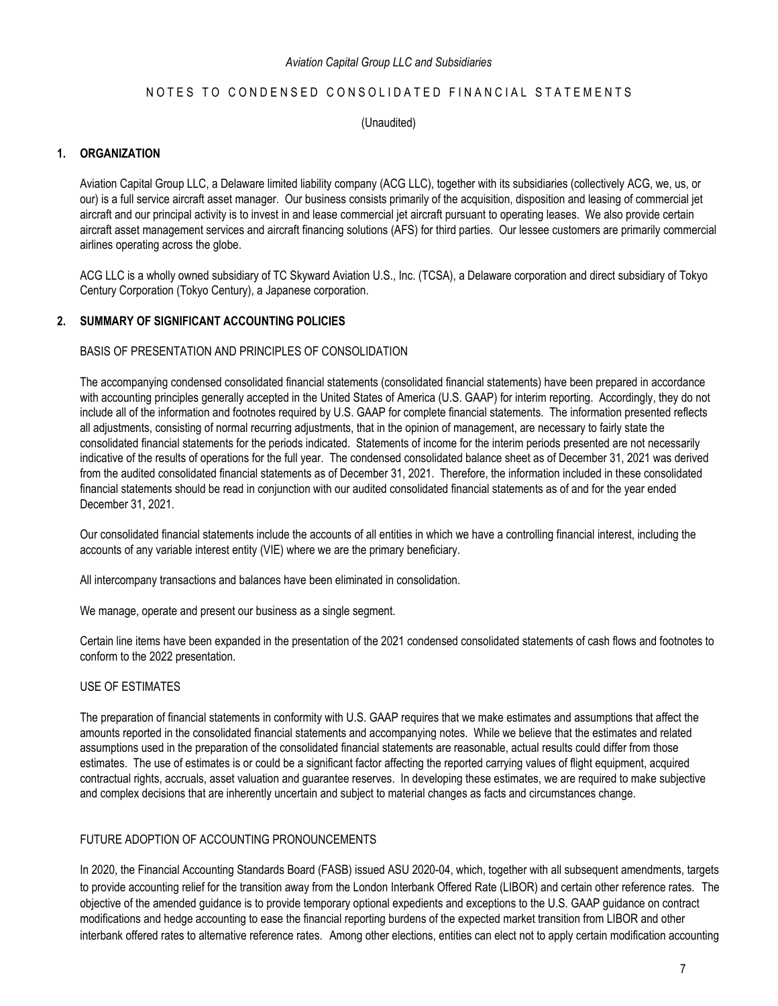#### NOTES TO CONDENSED CONSOLIDATED FINANCIAL STATEMENTS

(Unaudited)

#### **1. ORGANIZATION**

Aviation Capital Group LLC, a Delaware limited liability company (ACG LLC), together with its subsidiaries (collectively ACG, we, us, or our) is a full service aircraft asset manager. Our business consists primarily of the acquisition, disposition and leasing of commercial jet aircraft and our principal activity is to invest in and lease commercial jet aircraft pursuant to operating leases. We also provide certain aircraft asset management services and aircraft financing solutions (AFS) for third parties. Our lessee customers are primarily commercial airlines operating across the globe.

ACG LLC is a wholly owned subsidiary of TC Skyward Aviation U.S., Inc. (TCSA), a Delaware corporation and direct subsidiary of Tokyo Century Corporation (Tokyo Century), a Japanese corporation.

#### **2. SUMMARY OF SIGNIFICANT ACCOUNTING POLICIES**

BASIS OF PRESENTATION AND PRINCIPLES OF CONSOLIDATION

The accompanying condensed consolidated financial statements (consolidated financial statements) have been prepared in accordance with accounting principles generally accepted in the United States of America (U.S. GAAP) for interim reporting. Accordingly, they do not include all of the information and footnotes required by U.S. GAAP for complete financial statements. The information presented reflects all adjustments, consisting of normal recurring adjustments, that in the opinion of management, are necessary to fairly state the consolidated financial statements for the periods indicated. Statements of income for the interim periods presented are not necessarily indicative of the results of operations for the full year. The condensed consolidated balance sheet as of December 31, 2021 was derived from the audited consolidated financial statements as of December 31, 2021. Therefore, the information included in these consolidated financial statements should be read in conjunction with our audited consolidated financial statements as of and for the year ended December 31, 2021.

Our consolidated financial statements include the accounts of all entities in which we have a controlling financial interest, including the accounts of any variable interest entity (VIE) where we are the primary beneficiary.

All intercompany transactions and balances have been eliminated in consolidation.

We manage, operate and present our business as a single segment.

Certain line items have been expanded in the presentation of the 2021 condensed consolidated statements of cash flows and footnotes to conform to the 2022 presentation.

#### USE OF ESTIMATES

The preparation of financial statements in conformity with U.S. GAAP requires that we make estimates and assumptions that affect the amounts reported in the consolidated financial statements and accompanying notes. While we believe that the estimates and related assumptions used in the preparation of the consolidated financial statements are reasonable, actual results could differ from those estimates. The use of estimates is or could be a significant factor affecting the reported carrying values of flight equipment, acquired contractual rights, accruals, asset valuation and guarantee reserves. In developing these estimates, we are required to make subjective and complex decisions that are inherently uncertain and subject to material changes as facts and circumstances change.

#### FUTURE ADOPTION OF ACCOUNTING PRONOUNCEMENTS

In 2020, the Financial Accounting Standards Board (FASB) issued ASU 2020-04, which, together with all subsequent amendments, targets to provide accounting relief for the transition away from the London Interbank Offered Rate (LIBOR) and certain other reference rates. The objective of the amended guidance is to provide temporary optional expedients and exceptions to the U.S. GAAP guidance on contract modifications and hedge accounting to ease the financial reporting burdens of the expected market transition from LIBOR and other interbank offered rates to alternative reference rates. Among other elections, entities can elect not to apply certain modification accounting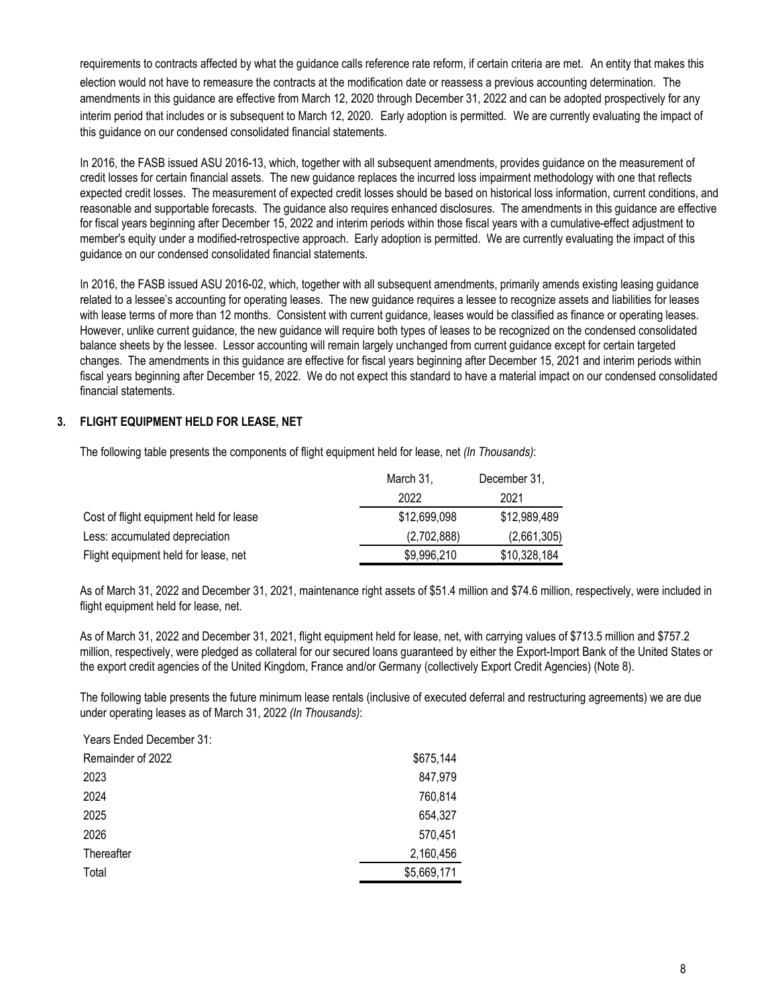requirements to contracts affected by what the guidance calls reference rate reform, if certain criteria are met. An entity that makes this election would not have to remeasure the contracts at the modification date or reassess a previous accounting determination. The amendments in this guidance are effective from March 12, 2020 through December 31, 2022 and can be adopted prospectively for any interim period that includes or is subsequent to March 12, 2020. Early adoption is permitted. We are currently evaluating the impact of this guidance on our condensed consolidated financial statements.

In 2016, the FASB issued ASU 2016-13, which, together with all subsequent amendments, provides guidance on the measurement of credit losses for certain financial assets. The new guidance replaces the incurred loss impairment methodology with one that reflects expected credit losses. The measurement of expected credit losses should be based on historical loss information, current conditions, and reasonable and supportable forecasts. The guidance also requires enhanced disclosures. The amendments in this guidance are effective for fiscal years beginning after December 15, 2022 and interim periods within those fiscal years with a cumulative-effect adjustment to member's equity under a modified-retrospective approach. Early adoption is permitted. We are currently evaluating the impact of this guidance on our condensed consolidated financial statements.

In 2016, the FASB issued ASU 2016-02, which, together with all subsequent amendments, primarily amends existing leasing guidance related to a lessee's accounting for operating leases. The new guidance requires a lessee to recognize assets and liabilities for leases with lease terms of more than 12 months. Consistent with current guidance, leases would be classified as finance or operating leases. However, unlike current guidance, the new guidance will require both types of leases to be recognized on the condensed consolidated balance sheets by the lessee. Lessor accounting will remain largely unchanged from current guidance except for certain targeted changes. The amendments in this guidance are effective for fiscal years beginning after December 15, 2021 and interim periods within fiscal years beginning after December 15, 2022. We do not expect this standard to have a material impact on our condensed consolidated financial statements.

#### **3. FLIGHT EQUIPMENT HELD FOR LEASE, NET**

The following table presents the components of flight equipment held for lease, net *(In Thousands)*:

|                                         | March 31,    | December 31, |
|-----------------------------------------|--------------|--------------|
|                                         | 2022         | 2021         |
| Cost of flight equipment held for lease | \$12,699,098 | \$12,989,489 |
| Less: accumulated depreciation          | (2,702,888)  | (2,661,305)  |
| Flight equipment held for lease, net    | \$9,996,210  | \$10,328,184 |

As of March 31, 2022 and December 31, 2021, maintenance right assets of \$51.4 million and \$74.6 million, respectively, were included in flight equipment held for lease, net.

As of March 31, 2022 and December 31, 2021, flight equipment held for lease, net, with carrying values of \$713.5 million and \$757.2 million, respectively, were pledged as collateral for our secured loans guaranteed by either the Export-Import Bank of the United States or the export credit agencies of the United Kingdom, France and/or Germany (collectively Export Credit Agencies) (Note 8).

The following table presents the future minimum lease rentals (inclusive of executed deferral and restructuring agreements) we are due under operating leases as of March 31, 2022 *(In Thousands)*:

| Years Ended December 31: |             |
|--------------------------|-------------|
| Remainder of 2022        | \$675,144   |
| 2023                     | 847,979     |
| 2024                     | 760,814     |
| 2025                     | 654,327     |
| 2026                     | 570,451     |
| Thereafter               | 2,160,456   |
| Total                    | \$5,669,171 |
|                          |             |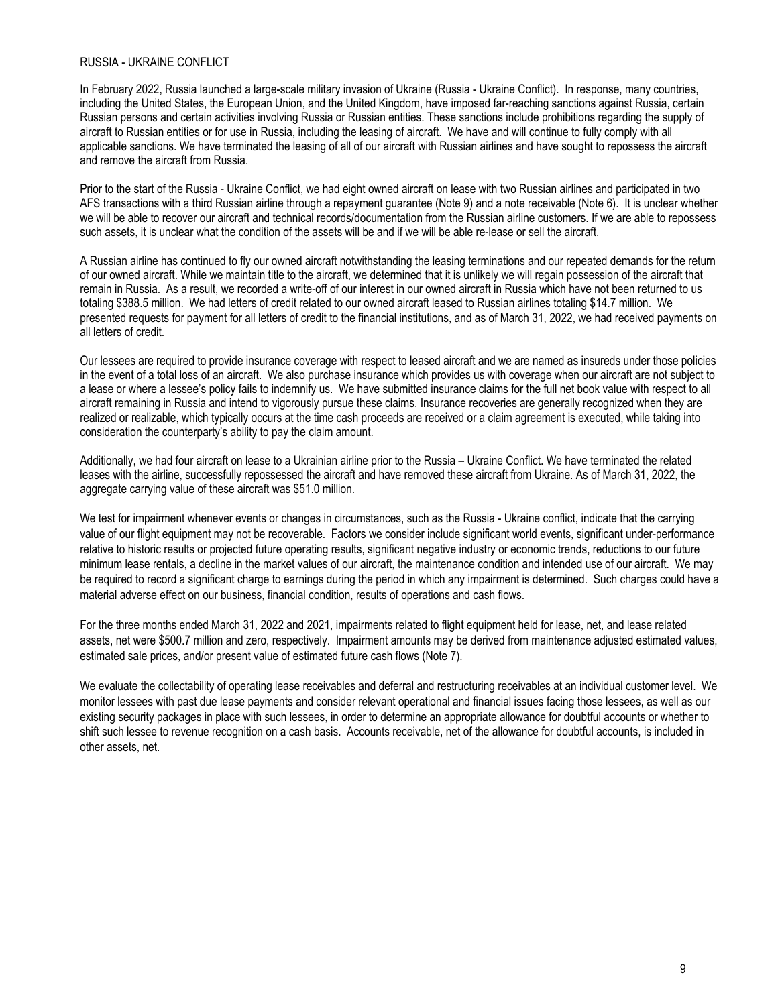#### RUSSIA - UKRAINE CONFLICT

In February 2022, Russia launched a large-scale military invasion of Ukraine (Russia - Ukraine Conflict). In response, many countries, including the United States, the European Union, and the United Kingdom, have imposed far-reaching sanctions against Russia, certain Russian persons and certain activities involving Russia or Russian entities. These sanctions include prohibitions regarding the supply of aircraft to Russian entities or for use in Russia, including the leasing of aircraft. We have and will continue to fully comply with all applicable sanctions. We have terminated the leasing of all of our aircraft with Russian airlines and have sought to repossess the aircraft and remove the aircraft from Russia.

Prior to the start of the Russia - Ukraine Conflict, we had eight owned aircraft on lease with two Russian airlines and participated in two AFS transactions with a third Russian airline through a repayment guarantee (Note 9) and a note receivable (Note 6). It is unclear whether we will be able to recover our aircraft and technical records/documentation from the Russian airline customers. If we are able to repossess such assets, it is unclear what the condition of the assets will be and if we will be able re-lease or sell the aircraft.

A Russian airline has continued to fly our owned aircraft notwithstanding the leasing terminations and our repeated demands for the return of our owned aircraft. While we maintain title to the aircraft, we determined that it is unlikely we will regain possession of the aircraft that remain in Russia. As a result, we recorded a write-off of our interest in our owned aircraft in Russia which have not been returned to us totaling \$388.5 million. We had letters of credit related to our owned aircraft leased to Russian airlines totaling \$14.7 million. We presented requests for payment for all letters of credit to the financial institutions, and as of March 31, 2022, we had received payments on all letters of credit.

Our lessees are required to provide insurance coverage with respect to leased aircraft and we are named as insureds under those policies in the event of a total loss of an aircraft. We also purchase insurance which provides us with coverage when our aircraft are not subject to a lease or where a lessee's policy fails to indemnify us. We have submitted insurance claims for the full net book value with respect to all aircraft remaining in Russia and intend to vigorously pursue these claims. Insurance recoveries are generally recognized when they are realized or realizable, which typically occurs at the time cash proceeds are received or a claim agreement is executed, while taking into consideration the counterparty's ability to pay the claim amount.

Additionally, we had four aircraft on lease to a Ukrainian airline prior to the Russia – Ukraine Conflict. We have terminated the related leases with the airline, successfully repossessed the aircraft and have removed these aircraft from Ukraine. As of March 31, 2022, the aggregate carrying value of these aircraft was \$51.0 million.

We test for impairment whenever events or changes in circumstances, such as the Russia - Ukraine conflict, indicate that the carrying value of our flight equipment may not be recoverable. Factors we consider include significant world events, significant under-performance relative to historic results or projected future operating results, significant negative industry or economic trends, reductions to our future minimum lease rentals, a decline in the market values of our aircraft, the maintenance condition and intended use of our aircraft. We may be required to record a significant charge to earnings during the period in which any impairment is determined. Such charges could have a material adverse effect on our business, financial condition, results of operations and cash flows.

For the three months ended March 31, 2022 and 2021, impairments related to flight equipment held for lease, net, and lease related assets, net were \$500.7 million and zero, respectively. Impairment amounts may be derived from maintenance adjusted estimated values, estimated sale prices, and/or present value of estimated future cash flows (Note 7).

We evaluate the collectability of operating lease receivables and deferral and restructuring receivables at an individual customer level. We monitor lessees with past due lease payments and consider relevant operational and financial issues facing those lessees, as well as our existing security packages in place with such lessees, in order to determine an appropriate allowance for doubtful accounts or whether to shift such lessee to revenue recognition on a cash basis. Accounts receivable, net of the allowance for doubtful accounts, is included in other assets, net.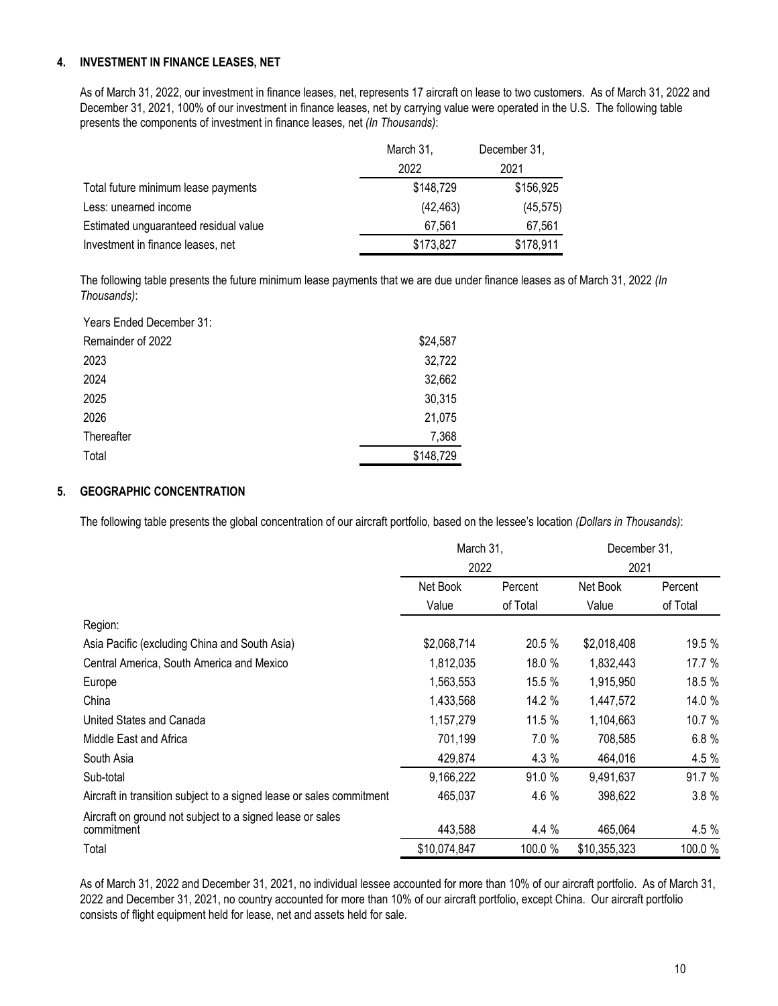#### **4. INVESTMENT IN FINANCE LEASES, NET**

As of March 31, 2022, our investment in finance leases, net, represents 17 aircraft on lease to two customers. As of March 31, 2022 and December 31, 2021, 100% of our investment in finance leases, net by carrying value were operated in the U.S. The following table presents the components of investment in finance leases, net *(In Thousands)*:

|                                       | March 31, | December 31, |
|---------------------------------------|-----------|--------------|
|                                       | 2022      | 2021         |
| Total future minimum lease payments   | \$148,729 | \$156,925    |
| Less: unearned income                 | (42, 463) | (45, 575)    |
| Estimated unguaranteed residual value | 67.561    | 67,561       |
| Investment in finance leases, net     | \$173,827 | \$178,911    |

The following table presents the future minimum lease payments that we are due under finance leases as of March 31, 2022 *(In Thousands)*:

| Years Ended December 31: |           |
|--------------------------|-----------|
| Remainder of 2022        | \$24,587  |
| 2023                     | 32,722    |
| 2024                     | 32,662    |
| 2025                     | 30,315    |
| 2026                     | 21,075    |
| Thereafter               | 7,368     |
| Total                    | \$148,729 |

#### **5. GEOGRAPHIC CONCENTRATION**

The following table presents the global concentration of our aircraft portfolio, based on the lessee's location *(Dollars in Thousands)*:

|                                                                         | March 31,<br>2022 |          | December 31.<br>2021 |          |
|-------------------------------------------------------------------------|-------------------|----------|----------------------|----------|
|                                                                         |                   |          |                      |          |
|                                                                         | Net Book          | Percent  | Net Book             | Percent  |
|                                                                         | Value             | of Total | Value                | of Total |
| Region:                                                                 |                   |          |                      |          |
| Asia Pacific (excluding China and South Asia)                           | \$2,068,714       | 20.5 %   | \$2,018,408          | 19.5 %   |
| Central America, South America and Mexico                               | 1,812,035         | 18.0 %   | 1,832,443            | 17.7 %   |
| Europe                                                                  | 1,563,553         | 15.5 %   | 1,915,950            | 18.5 %   |
| China                                                                   | 1,433,568         | 14.2 %   | 1,447,572            | 14.0 %   |
| United States and Canada                                                | 1,157,279         | 11.5 %   | 1,104,663            | 10.7 %   |
| Middle East and Africa                                                  | 701,199           | 7.0%     | 708,585              | 6.8%     |
| South Asia                                                              | 429,874           | 4.3 %    | 464,016              | 4.5 %    |
| Sub-total                                                               | 9,166,222         | 91.0 %   | 9,491,637            | 91.7 %   |
| Aircraft in transition subject to a signed lease or sales commitment    | 465,037           | 4.6 %    | 398,622              | 3.8%     |
| Aircraft on ground not subject to a signed lease or sales<br>commitment | 443,588           | 4.4 %    | 465,064              | 4.5 %    |
| Total                                                                   | \$10,074,847      | 100.0 %  | \$10,355,323         | 100.0 %  |

As of March 31, 2022 and December 31, 2021, no individual lessee accounted for more than 10% of our aircraft portfolio. As of March 31, 2022 and December 31, 2021, no country accounted for more than 10% of our aircraft portfolio, except China. Our aircraft portfolio consists of flight equipment held for lease, net and assets held for sale.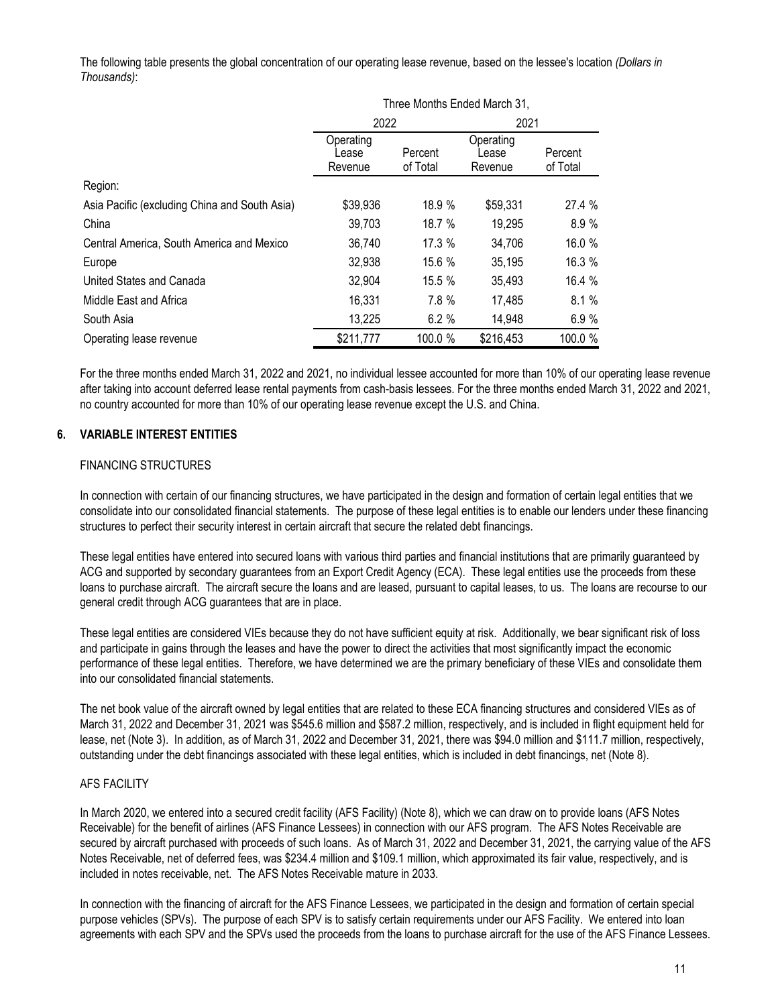The following table presents the global concentration of our operating lease revenue, based on the lessee's location *(Dollars in Thousands)*:

|                                               | Three Months Ended March 31,  |                     |                               |                     |
|-----------------------------------------------|-------------------------------|---------------------|-------------------------------|---------------------|
|                                               | 2022                          |                     | 2021                          |                     |
|                                               | Operating<br>Lease<br>Revenue | Percent<br>of Total | Operating<br>Lease<br>Revenue | Percent<br>of Total |
| Region:                                       |                               |                     |                               |                     |
| Asia Pacific (excluding China and South Asia) | \$39,936                      | 18.9 %              | \$59,331                      | 27.4 %              |
| China                                         | 39,703                        | 18.7 %              | 19,295                        | 8.9%                |
| Central America, South America and Mexico     | 36,740                        | 17.3 %              | 34,706                        | 16.0 %              |
| Europe                                        | 32,938                        | 15.6 %              | 35,195                        | 16.3 %              |
| United States and Canada                      | 32,904                        | 15.5 %              | 35,493                        | 16.4 %              |
| Middle East and Africa                        | 16,331                        | 7.8 %               | 17,485                        | 8.1%                |
| South Asia                                    | 13,225                        | 6.2%                | 14,948                        | 6.9%                |
| Operating lease revenue                       | \$211,777                     | 100.0 %             | \$216,453                     | 100.0 %             |

For the three months ended March 31, 2022 and 2021, no individual lessee accounted for more than 10% of our operating lease revenue after taking into account deferred lease rental payments from cash-basis lessees. For the three months ended March 31, 2022 and 2021, no country accounted for more than 10% of our operating lease revenue except the U.S. and China.

#### **6. VARIABLE INTEREST ENTITIES**

#### FINANCING STRUCTURES

In connection with certain of our financing structures, we have participated in the design and formation of certain legal entities that we consolidate into our consolidated financial statements. The purpose of these legal entities is to enable our lenders under these financing structures to perfect their security interest in certain aircraft that secure the related debt financings.

These legal entities have entered into secured loans with various third parties and financial institutions that are primarily guaranteed by ACG and supported by secondary guarantees from an Export Credit Agency (ECA). These legal entities use the proceeds from these loans to purchase aircraft. The aircraft secure the loans and are leased, pursuant to capital leases, to us. The loans are recourse to our general credit through ACG guarantees that are in place.

These legal entities are considered VIEs because they do not have sufficient equity at risk. Additionally, we bear significant risk of loss and participate in gains through the leases and have the power to direct the activities that most significantly impact the economic performance of these legal entities. Therefore, we have determined we are the primary beneficiary of these VIEs and consolidate them into our consolidated financial statements.

The net book value of the aircraft owned by legal entities that are related to these ECA financing structures and considered VIEs as of March 31, 2022 and December 31, 2021 was \$545.6 million and \$587.2 million, respectively, and is included in flight equipment held for lease, net (Note 3). In addition, as of March 31, 2022 and December 31, 2021, there was \$94.0 million and \$111.7 million, respectively, outstanding under the debt financings associated with these legal entities, which is included in debt financings, net (Note 8).

### AFS FACILITY

In March 2020, we entered into a secured credit facility (AFS Facility) (Note 8), which we can draw on to provide loans (AFS Notes Receivable) for the benefit of airlines (AFS Finance Lessees) in connection with our AFS program. The AFS Notes Receivable are secured by aircraft purchased with proceeds of such loans. As of March 31, 2022 and December 31, 2021, the carrying value of the AFS Notes Receivable, net of deferred fees, was \$234.4 million and \$109.1 million, which approximated its fair value, respectively, and is included in notes receivable, net. The AFS Notes Receivable mature in 2033.

In connection with the financing of aircraft for the AFS Finance Lessees, we participated in the design and formation of certain special purpose vehicles (SPVs). The purpose of each SPV is to satisfy certain requirements under our AFS Facility. We entered into loan agreements with each SPV and the SPVs used the proceeds from the loans to purchase aircraft for the use of the AFS Finance Lessees.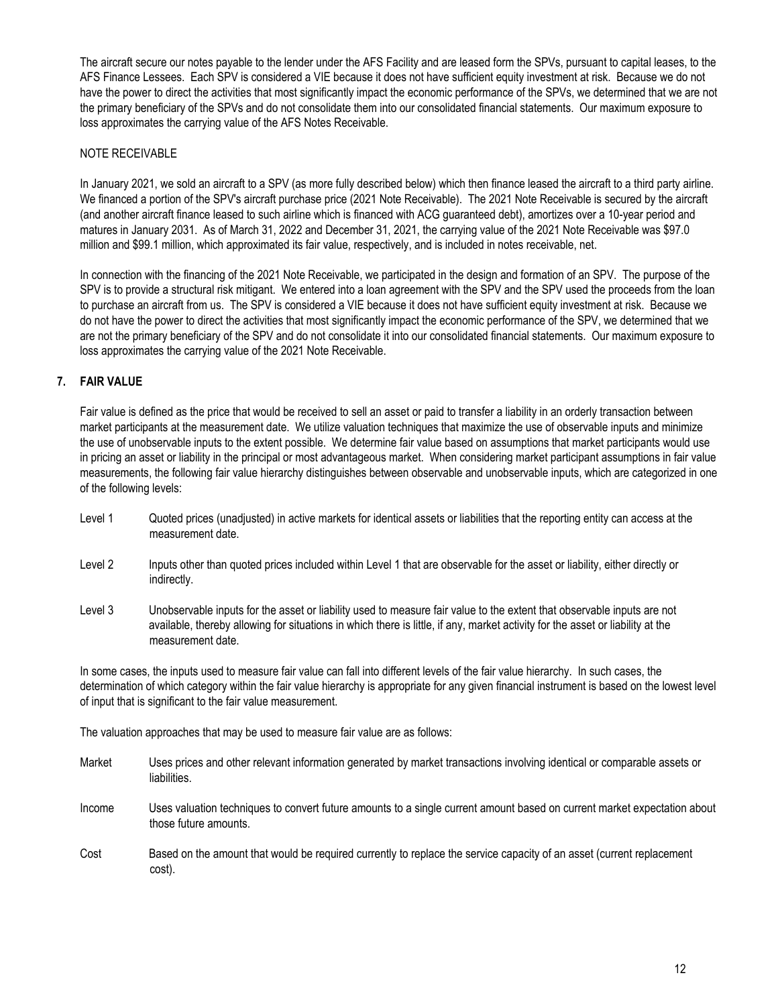The aircraft secure our notes payable to the lender under the AFS Facility and are leased form the SPVs, pursuant to capital leases, to the AFS Finance Lessees. Each SPV is considered a VIE because it does not have sufficient equity investment at risk. Because we do not have the power to direct the activities that most significantly impact the economic performance of the SPVs, we determined that we are not the primary beneficiary of the SPVs and do not consolidate them into our consolidated financial statements. Our maximum exposure to loss approximates the carrying value of the AFS Notes Receivable.

#### NOTE RECEIVABLE

In January 2021, we sold an aircraft to a SPV (as more fully described below) which then finance leased the aircraft to a third party airline. We financed a portion of the SPV's aircraft purchase price (2021 Note Receivable). The 2021 Note Receivable is secured by the aircraft (and another aircraft finance leased to such airline which is financed with ACG guaranteed debt), amortizes over a 10-year period and matures in January 2031. As of March 31, 2022 and December 31, 2021, the carrying value of the 2021 Note Receivable was \$97.0 million and \$99.1 million, which approximated its fair value, respectively, and is included in notes receivable, net.

In connection with the financing of the 2021 Note Receivable, we participated in the design and formation of an SPV. The purpose of the SPV is to provide a structural risk mitigant. We entered into a loan agreement with the SPV and the SPV used the proceeds from the loan to purchase an aircraft from us. The SPV is considered a VIE because it does not have sufficient equity investment at risk. Because we do not have the power to direct the activities that most significantly impact the economic performance of the SPV, we determined that we are not the primary beneficiary of the SPV and do not consolidate it into our consolidated financial statements. Our maximum exposure to loss approximates the carrying value of the 2021 Note Receivable.

#### **7. FAIR VALUE**

Fair value is defined as the price that would be received to sell an asset or paid to transfer a liability in an orderly transaction between market participants at the measurement date. We utilize valuation techniques that maximize the use of observable inputs and minimize the use of unobservable inputs to the extent possible. We determine fair value based on assumptions that market participants would use in pricing an asset or liability in the principal or most advantageous market. When considering market participant assumptions in fair value measurements, the following fair value hierarchy distinguishes between observable and unobservable inputs, which are categorized in one of the following levels:

- Level 1 Quoted prices (unadjusted) in active markets for identical assets or liabilities that the reporting entity can access at the measurement date.
- Level 2 Inputs other than quoted prices included within Level 1 that are observable for the asset or liability, either directly or indirectly.
- Level 3 Unobservable inputs for the asset or liability used to measure fair value to the extent that observable inputs are not available, thereby allowing for situations in which there is little, if any, market activity for the asset or liability at the measurement date.

In some cases, the inputs used to measure fair value can fall into different levels of the fair value hierarchy. In such cases, the determination of which category within the fair value hierarchy is appropriate for any given financial instrument is based on the lowest level of input that is significant to the fair value measurement.

The valuation approaches that may be used to measure fair value are as follows:

- Market Uses prices and other relevant information generated by market transactions involving identical or comparable assets or liabilities. Income Uses valuation techniques to convert future amounts to a single current amount based on current market expectation about those future amounts. Cost Based on the amount that would be required currently to replace the service capacity of an asset (current replacement
- cost).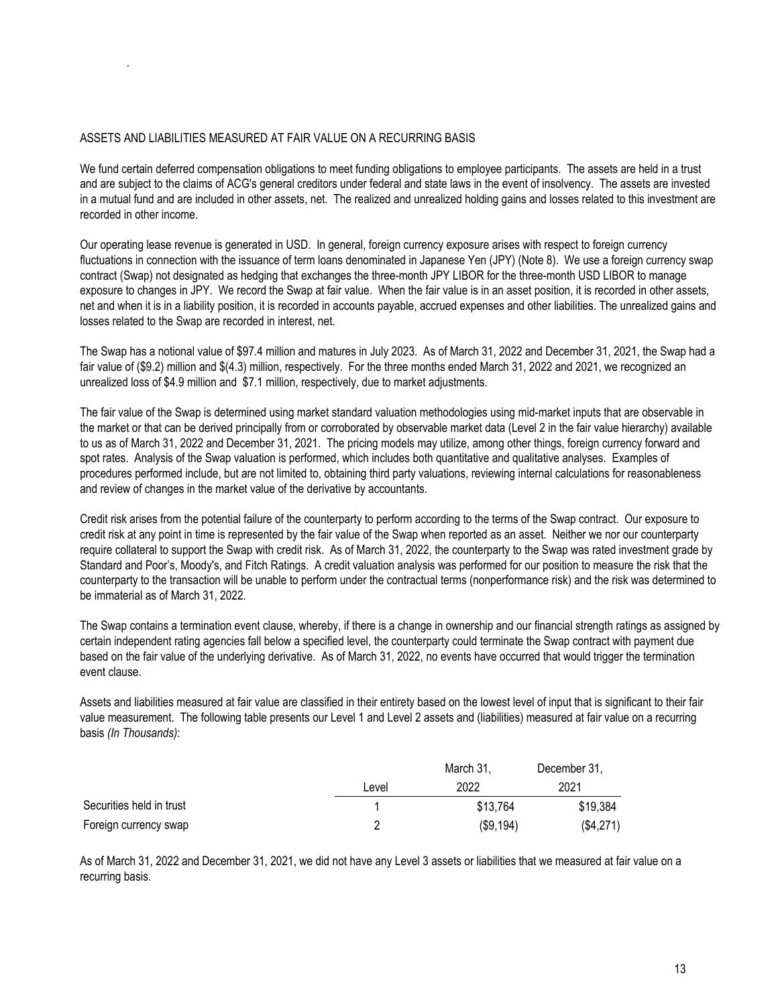#### ASSETS AND LIABILITIES MEASURED AT FAIR VALUE ON A RECURRING BASIS

.

We fund certain deferred compensation obligations to meet funding obligations to employee participants. The assets are held in a trust and are subject to the claims of ACG's general creditors under federal and state laws in the event of insolvency. The assets are invested in a mutual fund and are included in other assets, net. The realized and unrealized holding gains and losses related to this investment are recorded in other income.

Our operating lease revenue is generated in USD. In general, foreign currency exposure arises with respect to foreign currency fluctuations in connection with the issuance of term loans denominated in Japanese Yen (JPY) (Note 8). We use a foreign currency swap contract (Swap) not designated as hedging that exchanges the three-month JPY LIBOR for the three-month USD LIBOR to manage exposure to changes in JPY. We record the Swap at fair value. When the fair value is in an asset position, it is recorded in other assets, net and when it is in a liability position, it is recorded in accounts payable, accrued expenses and other liabilities. The unrealized gains and losses related to the Swap are recorded in interest, net.

The Swap has a notional value of \$97.4 million and matures in July 2023. As of March 31, 2022 and December 31, 2021, the Swap had a fair value of (\$9.2) million and \$(4.3) million, respectively. For the three months ended March 31, 2022 and 2021, we recognized an unrealized loss of \$4.9 million and \$7.1 million, respectively, due to market adjustments.

The fair value of the Swap is determined using market standard valuation methodologies using mid-market inputs that are observable in the market or that can be derived principally from or corroborated by observable market data (Level 2 in the fair value hierarchy) available to us as of March 31, 2022 and December 31, 2021. The pricing models may utilize, among other things, foreign currency forward and spot rates. Analysis of the Swap valuation is performed, which includes both quantitative and qualitative analyses. Examples of procedures performed include, but are not limited to, obtaining third party valuations, reviewing internal calculations for reasonableness and review of changes in the market value of the derivative by accountants.

Credit risk arises from the potential failure of the counterparty to perform according to the terms of the Swap contract. Our exposure to credit risk at any point in time is represented by the fair value of the Swap when reported as an asset. Neither we nor our counterparty require collateral to support the Swap with credit risk. As of March 31, 2022, the counterparty to the Swap was rated investment grade by Standard and Poor's, Moody's, and Fitch Ratings. A credit valuation analysis was performed for our position to measure the risk that the counterparty to the transaction will be unable to perform under the contractual terms (nonperformance risk) and the risk was determined to be immaterial as of March 31, 2022.

The Swap contains a termination event clause, whereby, if there is a change in ownership and our financial strength ratings as assigned by certain independent rating agencies fall below a specified level, the counterparty could terminate the Swap contract with payment due based on the fair value of the underlying derivative. As of March 31, 2022, no events have occurred that would trigger the termination event clause.

Assets and liabilities measured at fair value are classified in their entirety based on the lowest level of input that is significant to their fair value measurement. The following table presents our Level 1 and Level 2 assets and (liabilities) measured at fair value on a recurring basis *(In Thousands)*:

|                          |       | March 31. | December 31, |
|--------------------------|-------|-----------|--------------|
|                          | ∟evel | 2022      | 2021         |
| Securities held in trust |       | \$13,764  | \$19,384     |
| Foreign currency swap    |       | (\$9,194) | (\$4,271)    |

As of March 31, 2022 and December 31, 2021, we did not have any Level 3 assets or liabilities that we measured at fair value on a recurring basis.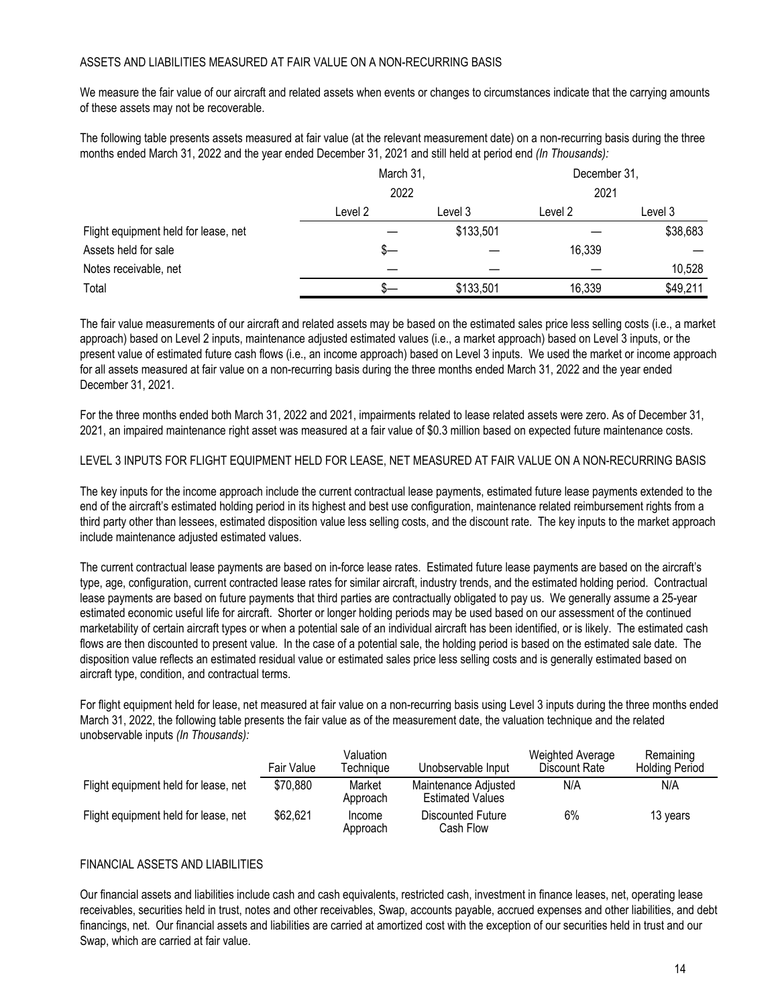#### ASSETS AND LIABILITIES MEASURED AT FAIR VALUE ON A NON-RECURRING BASIS

We measure the fair value of our aircraft and related assets when events or changes to circumstances indicate that the carrying amounts of these assets may not be recoverable.

The following table presents assets measured at fair value (at the relevant measurement date) on a non-recurring basis during the three months ended March 31, 2022 and the year ended December 31, 2021 and still held at period end *(In Thousands):*

|                                      | March 31,<br>2022 |           | December 31, |          |  |
|--------------------------------------|-------------------|-----------|--------------|----------|--|
|                                      |                   |           | 2021         |          |  |
|                                      | Level 2           | Level 3   | Level 2      | Level 3  |  |
| Flight equipment held for lease, net |                   | \$133,501 |              | \$38,683 |  |
| Assets held for sale                 | s—                |           | 16,339       |          |  |
| Notes receivable, net                |                   |           |              | 10,528   |  |
| Total                                |                   | \$133,501 | 16,339       | \$49,211 |  |

The fair value measurements of our aircraft and related assets may be based on the estimated sales price less selling costs (i.e., a market approach) based on Level 2 inputs, maintenance adjusted estimated values (i.e., a market approach) based on Level 3 inputs, or the present value of estimated future cash flows (i.e., an income approach) based on Level 3 inputs. We used the market or income approach for all assets measured at fair value on a non-recurring basis during the three months ended March 31, 2022 and the year ended December 31, 2021.

For the three months ended both March 31, 2022 and 2021, impairments related to lease related assets were zero. As of December 31, 2021, an impaired maintenance right asset was measured at a fair value of \$0.3 million based on expected future maintenance costs.

LEVEL 3 INPUTS FOR FLIGHT EQUIPMENT HELD FOR LEASE, NET MEASURED AT FAIR VALUE ON A NON-RECURRING BASIS

The key inputs for the income approach include the current contractual lease payments, estimated future lease payments extended to the end of the aircraft's estimated holding period in its highest and best use configuration, maintenance related reimbursement rights from a third party other than lessees, estimated disposition value less selling costs, and the discount rate. The key inputs to the market approach include maintenance adjusted estimated values.

The current contractual lease payments are based on in-force lease rates. Estimated future lease payments are based on the aircraft's type, age, configuration, current contracted lease rates for similar aircraft, industry trends, and the estimated holding period. Contractual lease payments are based on future payments that third parties are contractually obligated to pay us. We generally assume a 25-year estimated economic useful life for aircraft. Shorter or longer holding periods may be used based on our assessment of the continued marketability of certain aircraft types or when a potential sale of an individual aircraft has been identified, or is likely. The estimated cash flows are then discounted to present value. In the case of a potential sale, the holding period is based on the estimated sale date. The disposition value reflects an estimated residual value or estimated sales price less selling costs and is generally estimated based on aircraft type, condition, and contractual terms.

For flight equipment held for lease, net measured at fair value on a non-recurring basis using Level 3 inputs during the three months ended March 31, 2022, the following table presents the fair value as of the measurement date, the valuation technique and the related unobservable inputs *(In Thousands):*

|                                      | Fair Value | Valuation<br>Techniaue | Unobservable Input                              | Weighted Average<br>Discount Rate | Remaining<br><b>Holding Period</b> |
|--------------------------------------|------------|------------------------|-------------------------------------------------|-----------------------------------|------------------------------------|
| Flight equipment held for lease, net | \$70,880   | Market<br>Approach     | Maintenance Adiusted<br><b>Estimated Values</b> | N/A                               | N/A                                |
| Flight equipment held for lease, net | \$62,621   | Income<br>Approach     | <b>Discounted Future</b><br>Cash Flow           | 6%                                | 13 years                           |

#### FINANCIAL ASSETS AND LIABILITIES

Our financial assets and liabilities include cash and cash equivalents, restricted cash, investment in finance leases, net, operating lease receivables, securities held in trust, notes and other receivables, Swap, accounts payable, accrued expenses and other liabilities, and debt financings, net. Our financial assets and liabilities are carried at amortized cost with the exception of our securities held in trust and our Swap, which are carried at fair value.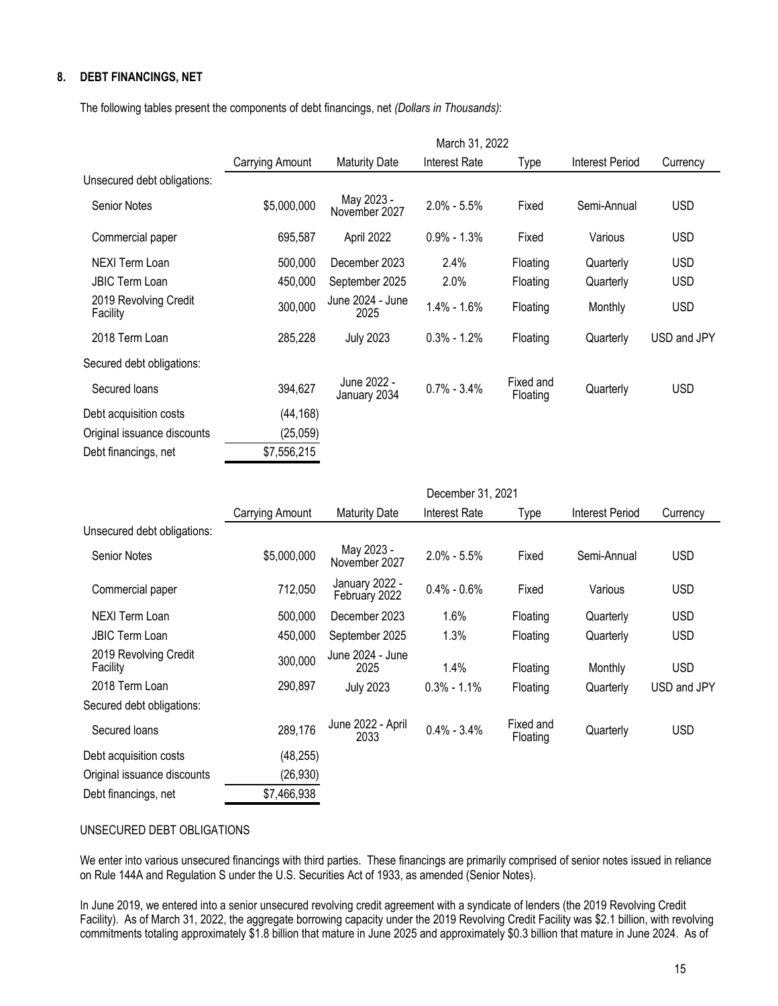#### **8. DEBT FINANCINGS, NET**

The following tables present the components of debt financings, net *(Dollars in Thousands)*:

| March 31, 2022  |                             |                      |                       |                 |             |
|-----------------|-----------------------------|----------------------|-----------------------|-----------------|-------------|
| Carrying Amount | <b>Maturity Date</b>        | <b>Interest Rate</b> | Type                  | Interest Period | Currency    |
|                 |                             |                      |                       |                 |             |
| \$5,000,000     | May 2023 -<br>November 2027 | $2.0\% - 5.5\%$      | Fixed                 | Semi-Annual     | <b>USD</b>  |
| 695,587         | April 2022                  | $0.9\% - 1.3\%$      | Fixed                 | Various         | <b>USD</b>  |
| 500,000         | December 2023               | 2.4%                 | Floating              | Quarterly       | <b>USD</b>  |
| 450,000         | September 2025              | 2.0%                 | Floating              | Quarterly       | <b>USD</b>  |
| 300,000         | June 2024 - June<br>2025    | $1.4\% - 1.6\%$      | Floating              | Monthly         | <b>USD</b>  |
| 285,228         | <b>July 2023</b>            | $0.3\% - 1.2\%$      | Floating              | Quarterly       | USD and JPY |
|                 |                             |                      |                       |                 |             |
| 394,627         | June 2022 -<br>January 2034 | $0.7\% - 3.4\%$      | Fixed and<br>Floating | Quarterly       | <b>USD</b>  |
| (44,168)        |                             |                      |                       |                 |             |
| (25,059)        |                             |                      |                       |                 |             |
| \$7,556,215     |                             |                      |                       |                 |             |
|                 |                             |                      |                       |                 |             |

|                                   | December 31, 2021 |                                 |                      |                       |                        |             |
|-----------------------------------|-------------------|---------------------------------|----------------------|-----------------------|------------------------|-------------|
|                                   | Carrying Amount   | <b>Maturity Date</b>            | <b>Interest Rate</b> | Type                  | <b>Interest Period</b> | Currency    |
| Unsecured debt obligations:       |                   |                                 |                      |                       |                        |             |
| <b>Senior Notes</b>               | \$5,000,000       | May 2023 -<br>November 2027     | $2.0\% - 5.5\%$      | Fixed                 | Semi-Annual            | <b>USD</b>  |
| Commercial paper                  | 712,050           | January 2022 -<br>February 2022 | $0.4\% - 0.6\%$      | Fixed                 | Various                | <b>USD</b>  |
| NEXI Term Loan                    | 500,000           | December 2023                   | 1.6%                 | Floating              | Quarterly              | <b>USD</b>  |
| <b>JBIC Term Loan</b>             | 450,000           | September 2025                  | 1.3%                 | Floating              | Quarterly              | <b>USD</b>  |
| 2019 Revolving Credit<br>Facility | 300,000           | June 2024 - June<br>2025        | 1.4%                 | Floating              | Monthly                | <b>USD</b>  |
| 2018 Term Loan                    | 290,897           | <b>July 2023</b>                | $0.3\% - 1.1\%$      | Floating              | Quarterly              | USD and JPY |
| Secured debt obligations:         |                   |                                 |                      |                       |                        |             |
| Secured loans                     | 289,176           | June 2022 - April<br>2033       | $0.4\% - 3.4\%$      | Fixed and<br>Floating | Quarterly              | <b>USD</b>  |
| Debt acquisition costs            | (48, 255)         |                                 |                      |                       |                        |             |
| Original issuance discounts       | (26, 930)         |                                 |                      |                       |                        |             |
| Debt financings, net              | \$7,466,938       |                                 |                      |                       |                        |             |
|                                   |                   |                                 |                      |                       |                        |             |

#### UNSECURED DEBT OBLIGATIONS

We enter into various unsecured financings with third parties. These financings are primarily comprised of senior notes issued in reliance on Rule 144A and Regulation S under the U.S. Securities Act of 1933, as amended (Senior Notes).

In June 2019, we entered into a senior unsecured revolving credit agreement with a syndicate of lenders (the 2019 Revolving Credit Facility). As of March 31, 2022, the aggregate borrowing capacity under the 2019 Revolving Credit Facility was \$2.1 billion, with revolving commitments totaling approximately \$1.8 billion that mature in June 2025 and approximately \$0.3 billion that mature in June 2024. As of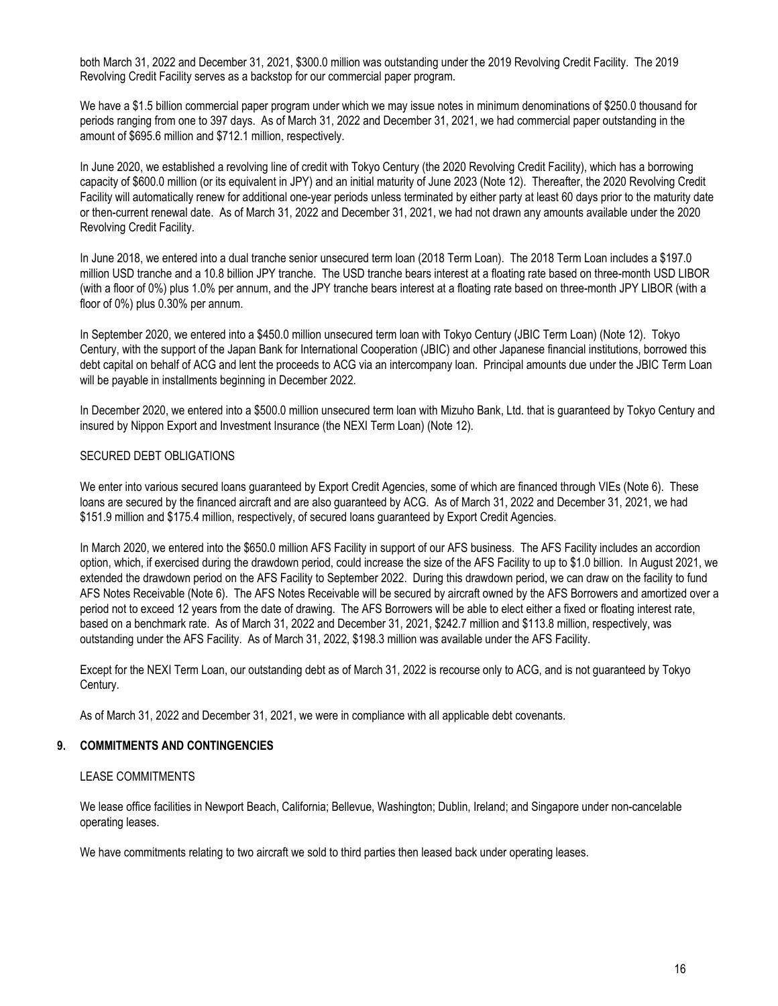both March 31, 2022 and December 31, 2021, \$300.0 million was outstanding under the 2019 Revolving Credit Facility. The 2019 Revolving Credit Facility serves as a backstop for our commercial paper program.

We have a \$1.5 billion commercial paper program under which we may issue notes in minimum denominations of \$250.0 thousand for periods ranging from one to 397 days. As of March 31, 2022 and December 31, 2021, we had commercial paper outstanding in the amount of \$695.6 million and \$712.1 million, respectively.

In June 2020, we established a revolving line of credit with Tokyo Century (the 2020 Revolving Credit Facility), which has a borrowing capacity of \$600.0 million (or its equivalent in JPY) and an initial maturity of June 2023 (Note 12). Thereafter, the 2020 Revolving Credit Facility will automatically renew for additional one-year periods unless terminated by either party at least 60 days prior to the maturity date or then-current renewal date. As of March 31, 2022 and December 31, 2021, we had not drawn any amounts available under the 2020 Revolving Credit Facility.

In June 2018, we entered into a dual tranche senior unsecured term loan (2018 Term Loan). The 2018 Term Loan includes a \$197.0 million USD tranche and a 10.8 billion JPY tranche. The USD tranche bears interest at a floating rate based on three-month USD LIBOR (with a floor of 0%) plus 1.0% per annum, and the JPY tranche bears interest at a floating rate based on three-month JPY LIBOR (with a floor of 0%) plus 0.30% per annum.

In September 2020, we entered into a \$450.0 million unsecured term loan with Tokyo Century (JBIC Term Loan) (Note 12). Tokyo Century, with the support of the Japan Bank for International Cooperation (JBIC) and other Japanese financial institutions, borrowed this debt capital on behalf of ACG and lent the proceeds to ACG via an intercompany loan. Principal amounts due under the JBIC Term Loan will be payable in installments beginning in December 2022.

In December 2020, we entered into a \$500.0 million unsecured term loan with Mizuho Bank, Ltd. that is guaranteed by Tokyo Century and insured by Nippon Export and Investment Insurance (the NEXI Term Loan) (Note 12).

#### SECURED DEBT OBLIGATIONS

We enter into various secured loans guaranteed by Export Credit Agencies, some of which are financed through VIEs (Note 6). These loans are secured by the financed aircraft and are also guaranteed by ACG. As of March 31, 2022 and December 31, 2021, we had \$151.9 million and \$175.4 million, respectively, of secured loans guaranteed by Export Credit Agencies.

In March 2020, we entered into the \$650.0 million AFS Facility in support of our AFS business. The AFS Facility includes an accordion option, which, if exercised during the drawdown period, could increase the size of the AFS Facility to up to \$1.0 billion. In August 2021, we extended the drawdown period on the AFS Facility to September 2022. During this drawdown period, we can draw on the facility to fund AFS Notes Receivable (Note 6). The AFS Notes Receivable will be secured by aircraft owned by the AFS Borrowers and amortized over a period not to exceed 12 years from the date of drawing. The AFS Borrowers will be able to elect either a fixed or floating interest rate, based on a benchmark rate. As of March 31, 2022 and December 31, 2021, \$242.7 million and \$113.8 million, respectively, was outstanding under the AFS Facility. As of March 31, 2022, \$198.3 million was available under the AFS Facility.

Except for the NEXI Term Loan, our outstanding debt as of March 31, 2022 is recourse only to ACG, and is not guaranteed by Tokyo Century.

As of March 31, 2022 and December 31, 2021, we were in compliance with all applicable debt covenants.

#### **9. COMMITMENTS AND CONTINGENCIES**

#### LEASE COMMITMENTS

We lease office facilities in Newport Beach, California; Bellevue, Washington; Dublin, Ireland; and Singapore under non-cancelable operating leases.

We have commitments relating to two aircraft we sold to third parties then leased back under operating leases.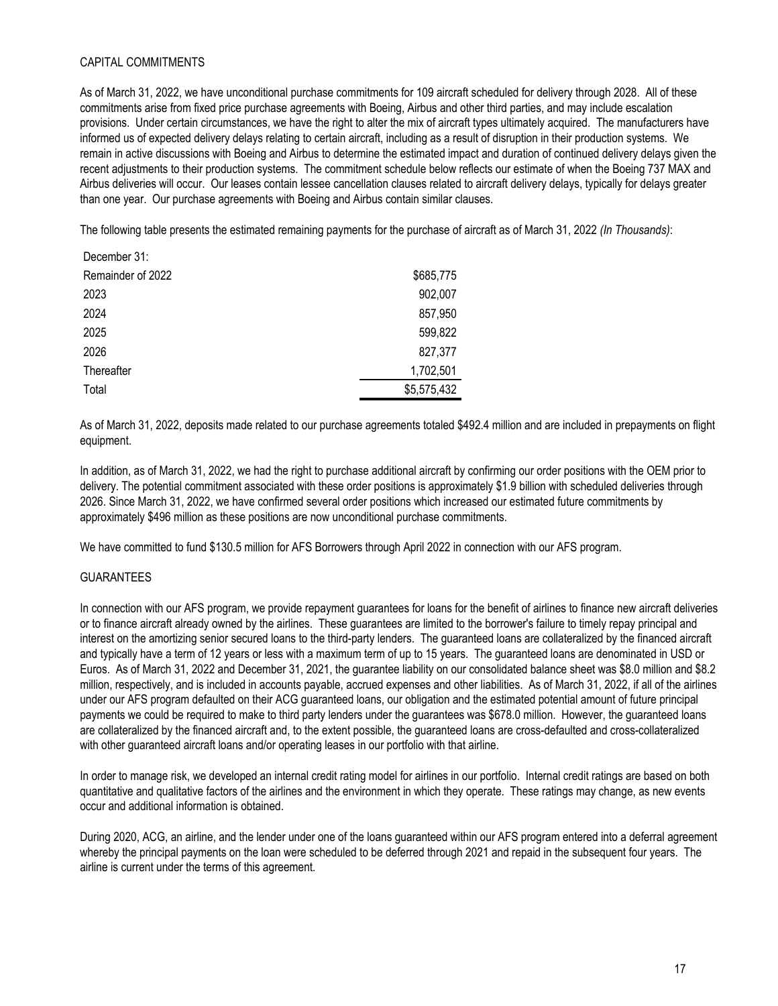#### CAPITAL COMMITMENTS

As of March 31, 2022, we have unconditional purchase commitments for 109 aircraft scheduled for delivery through 2028. All of these commitments arise from fixed price purchase agreements with Boeing, Airbus and other third parties, and may include escalation provisions. Under certain circumstances, we have the right to alter the mix of aircraft types ultimately acquired. The manufacturers have informed us of expected delivery delays relating to certain aircraft, including as a result of disruption in their production systems. We remain in active discussions with Boeing and Airbus to determine the estimated impact and duration of continued delivery delays given the recent adjustments to their production systems. The commitment schedule below reflects our estimate of when the Boeing 737 MAX and Airbus deliveries will occur. Our leases contain lessee cancellation clauses related to aircraft delivery delays, typically for delays greater than one year. Our purchase agreements with Boeing and Airbus contain similar clauses.

The following table presents the estimated remaining payments for the purchase of aircraft as of March 31, 2022 *(In Thousands)*:

| December 31:      |             |
|-------------------|-------------|
| Remainder of 2022 | \$685,775   |
| 2023              | 902,007     |
| 2024              | 857,950     |
| 2025              | 599,822     |
| 2026              | 827,377     |
| Thereafter        | 1,702,501   |
| Total             | \$5,575,432 |

As of March 31, 2022, deposits made related to our purchase agreements totaled \$492.4 million and are included in prepayments on flight equipment.

In addition, as of March 31, 2022, we had the right to purchase additional aircraft by confirming our order positions with the OEM prior to delivery. The potential commitment associated with these order positions is approximately \$1.9 billion with scheduled deliveries through 2026. Since March 31, 2022, we have confirmed several order positions which increased our estimated future commitments by approximately \$496 million as these positions are now unconditional purchase commitments.

We have committed to fund \$130.5 million for AFS Borrowers through April 2022 in connection with our AFS program.

#### GUARANTEES

In connection with our AFS program, we provide repayment guarantees for loans for the benefit of airlines to finance new aircraft deliveries or to finance aircraft already owned by the airlines. These guarantees are limited to the borrower's failure to timely repay principal and interest on the amortizing senior secured loans to the third-party lenders. The guaranteed loans are collateralized by the financed aircraft and typically have a term of 12 years or less with a maximum term of up to 15 years. The guaranteed loans are denominated in USD or Euros. As of March 31, 2022 and December 31, 2021, the guarantee liability on our consolidated balance sheet was \$8.0 million and \$8.2 million, respectively, and is included in accounts payable, accrued expenses and other liabilities. As of March 31, 2022, if all of the airlines under our AFS program defaulted on their ACG guaranteed loans, our obligation and the estimated potential amount of future principal payments we could be required to make to third party lenders under the guarantees was \$678.0 million. However, the guaranteed loans are collateralized by the financed aircraft and, to the extent possible, the guaranteed loans are cross-defaulted and cross-collateralized with other guaranteed aircraft loans and/or operating leases in our portfolio with that airline.

In order to manage risk, we developed an internal credit rating model for airlines in our portfolio. Internal credit ratings are based on both quantitative and qualitative factors of the airlines and the environment in which they operate. These ratings may change, as new events occur and additional information is obtained.

During 2020, ACG, an airline, and the lender under one of the loans guaranteed within our AFS program entered into a deferral agreement whereby the principal payments on the loan were scheduled to be deferred through 2021 and repaid in the subsequent four years. The airline is current under the terms of this agreement.